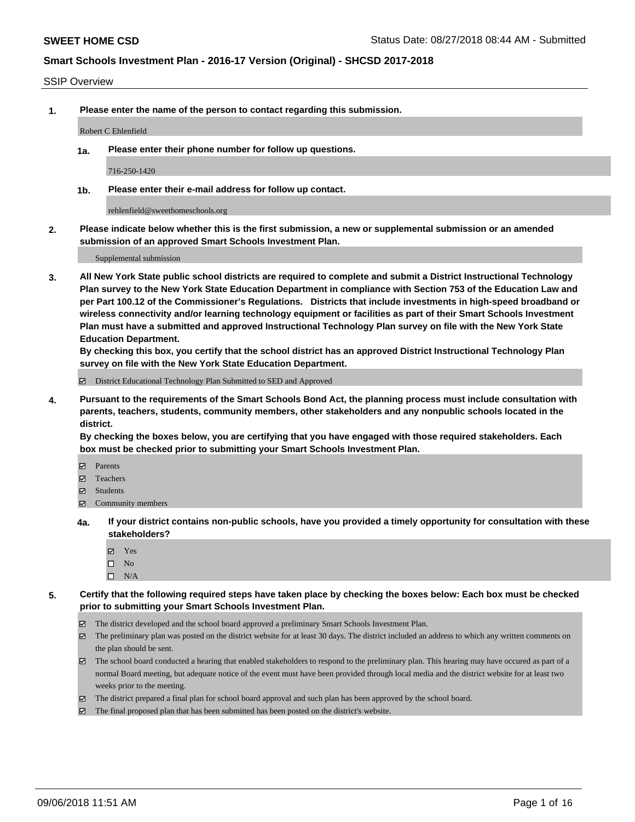### SSIP Overview

**1. Please enter the name of the person to contact regarding this submission.**

#### Robert C Ehlenfield

**1a. Please enter their phone number for follow up questions.**

716-250-1420

**1b. Please enter their e-mail address for follow up contact.**

rehlenfield@sweethomeschools.org

**2. Please indicate below whether this is the first submission, a new or supplemental submission or an amended submission of an approved Smart Schools Investment Plan.**

Supplemental submission

**3. All New York State public school districts are required to complete and submit a District Instructional Technology Plan survey to the New York State Education Department in compliance with Section 753 of the Education Law and per Part 100.12 of the Commissioner's Regulations. Districts that include investments in high-speed broadband or wireless connectivity and/or learning technology equipment or facilities as part of their Smart Schools Investment Plan must have a submitted and approved Instructional Technology Plan survey on file with the New York State Education Department.** 

**By checking this box, you certify that the school district has an approved District Instructional Technology Plan survey on file with the New York State Education Department.**

District Educational Technology Plan Submitted to SED and Approved

**4. Pursuant to the requirements of the Smart Schools Bond Act, the planning process must include consultation with parents, teachers, students, community members, other stakeholders and any nonpublic schools located in the district.** 

**By checking the boxes below, you are certifying that you have engaged with those required stakeholders. Each box must be checked prior to submitting your Smart Schools Investment Plan.**

- **Parents**
- Teachers
- **☑** Students
- **☑** Community members
- **4a. If your district contains non-public schools, have you provided a timely opportunity for consultation with these stakeholders?**
	- **Ø** Yes
	- $\square$  No
	- $\square$  N/A
- **5. Certify that the following required steps have taken place by checking the boxes below: Each box must be checked prior to submitting your Smart Schools Investment Plan.**
	- The district developed and the school board approved a preliminary Smart Schools Investment Plan.
	- $\boxtimes$  The preliminary plan was posted on the district website for at least 30 days. The district included an address to which any written comments on the plan should be sent.
	- The school board conducted a hearing that enabled stakeholders to respond to the preliminary plan. This hearing may have occured as part of a normal Board meeting, but adequate notice of the event must have been provided through local media and the district website for at least two weeks prior to the meeting.
	- The district prepared a final plan for school board approval and such plan has been approved by the school board.
	- The final proposed plan that has been submitted has been posted on the district's website.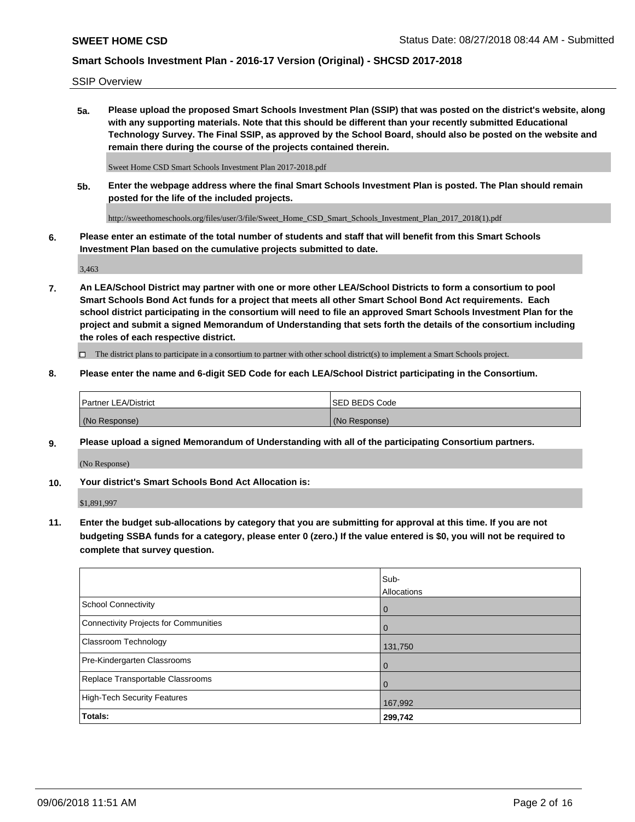SSIP Overview

**5a. Please upload the proposed Smart Schools Investment Plan (SSIP) that was posted on the district's website, along with any supporting materials. Note that this should be different than your recently submitted Educational Technology Survey. The Final SSIP, as approved by the School Board, should also be posted on the website and remain there during the course of the projects contained therein.**

Sweet Home CSD Smart Schools Investment Plan 2017-2018.pdf

**5b. Enter the webpage address where the final Smart Schools Investment Plan is posted. The Plan should remain posted for the life of the included projects.**

http://sweethomeschools.org/files/user/3/file/Sweet\_Home\_CSD\_Smart\_Schools\_Investment\_Plan\_2017\_2018(1).pdf

**6. Please enter an estimate of the total number of students and staff that will benefit from this Smart Schools Investment Plan based on the cumulative projects submitted to date.**

3,463

**7. An LEA/School District may partner with one or more other LEA/School Districts to form a consortium to pool Smart Schools Bond Act funds for a project that meets all other Smart School Bond Act requirements. Each school district participating in the consortium will need to file an approved Smart Schools Investment Plan for the project and submit a signed Memorandum of Understanding that sets forth the details of the consortium including the roles of each respective district.**

 $\Box$  The district plans to participate in a consortium to partner with other school district(s) to implement a Smart Schools project.

## **8. Please enter the name and 6-digit SED Code for each LEA/School District participating in the Consortium.**

| <b>Partner LEA/District</b> | <b>ISED BEDS Code</b> |
|-----------------------------|-----------------------|
| (No Response)               | (No Response)         |

### **9. Please upload a signed Memorandum of Understanding with all of the participating Consortium partners.**

(No Response)

**10. Your district's Smart Schools Bond Act Allocation is:**

\$1,891,997

**11. Enter the budget sub-allocations by category that you are submitting for approval at this time. If you are not budgeting SSBA funds for a category, please enter 0 (zero.) If the value entered is \$0, you will not be required to complete that survey question.**

|                                       | Sub-<br>Allocations |
|---------------------------------------|---------------------|
| School Connectivity                   | l 0                 |
| Connectivity Projects for Communities | $\overline{0}$      |
| <b>Classroom Technology</b>           | 131,750             |
| Pre-Kindergarten Classrooms           | $\overline{0}$      |
| Replace Transportable Classrooms      | $\Omega$            |
| High-Tech Security Features           | 167,992             |
| Totals:                               | 299,742             |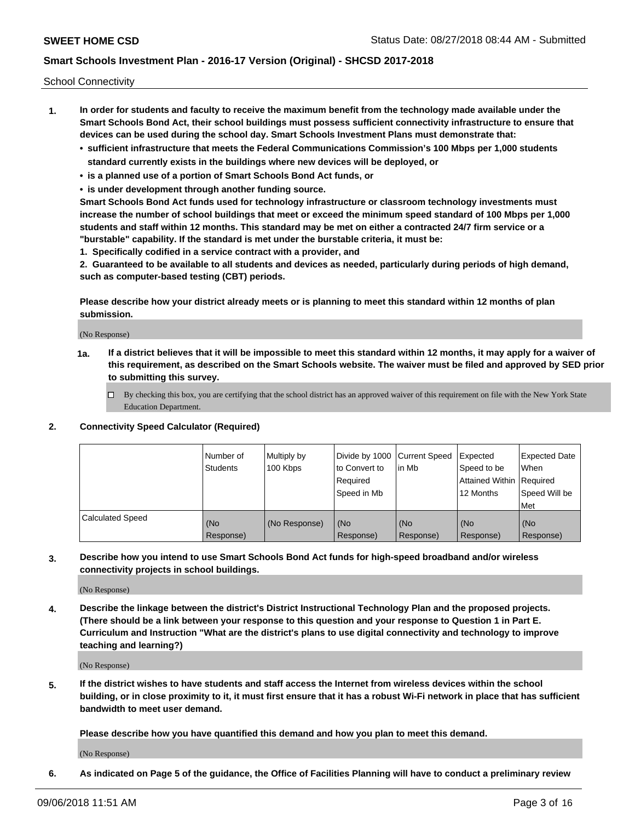School Connectivity

- **1. In order for students and faculty to receive the maximum benefit from the technology made available under the Smart Schools Bond Act, their school buildings must possess sufficient connectivity infrastructure to ensure that devices can be used during the school day. Smart Schools Investment Plans must demonstrate that:**
	- **• sufficient infrastructure that meets the Federal Communications Commission's 100 Mbps per 1,000 students standard currently exists in the buildings where new devices will be deployed, or**
	- **• is a planned use of a portion of Smart Schools Bond Act funds, or**
	- **• is under development through another funding source.**

**Smart Schools Bond Act funds used for technology infrastructure or classroom technology investments must increase the number of school buildings that meet or exceed the minimum speed standard of 100 Mbps per 1,000 students and staff within 12 months. This standard may be met on either a contracted 24/7 firm service or a "burstable" capability. If the standard is met under the burstable criteria, it must be:**

**1. Specifically codified in a service contract with a provider, and**

**2. Guaranteed to be available to all students and devices as needed, particularly during periods of high demand, such as computer-based testing (CBT) periods.**

**Please describe how your district already meets or is planning to meet this standard within 12 months of plan submission.**

(No Response)

**1a. If a district believes that it will be impossible to meet this standard within 12 months, it may apply for a waiver of this requirement, as described on the Smart Schools website. The waiver must be filed and approved by SED prior to submitting this survey.**

 $\Box$  By checking this box, you are certifying that the school district has an approved waiver of this requirement on file with the New York State Education Department.

### **2. Connectivity Speed Calculator (Required)**

|                         | l Number of<br>Students | Multiply by<br>100 Kbps | Divide by 1000 Current Speed<br>to Convert to<br>Required<br>l Speed in Mb | lin Mb           | Expected<br>Speed to be<br>Attained Within   Required<br>12 Months | <b>Expected Date</b><br>When<br>Speed Will be<br>Met |
|-------------------------|-------------------------|-------------------------|----------------------------------------------------------------------------|------------------|--------------------------------------------------------------------|------------------------------------------------------|
| <b>Calculated Speed</b> | (No<br>Response)        | (No Response)           | (No<br>Response)                                                           | (No<br>Response) | (No<br>Response)                                                   | (No<br>Response)                                     |

**3. Describe how you intend to use Smart Schools Bond Act funds for high-speed broadband and/or wireless connectivity projects in school buildings.**

(No Response)

**4. Describe the linkage between the district's District Instructional Technology Plan and the proposed projects. (There should be a link between your response to this question and your response to Question 1 in Part E. Curriculum and Instruction "What are the district's plans to use digital connectivity and technology to improve teaching and learning?)**

(No Response)

**5. If the district wishes to have students and staff access the Internet from wireless devices within the school building, or in close proximity to it, it must first ensure that it has a robust Wi-Fi network in place that has sufficient bandwidth to meet user demand.**

**Please describe how you have quantified this demand and how you plan to meet this demand.**

(No Response)

**6. As indicated on Page 5 of the guidance, the Office of Facilities Planning will have to conduct a preliminary review**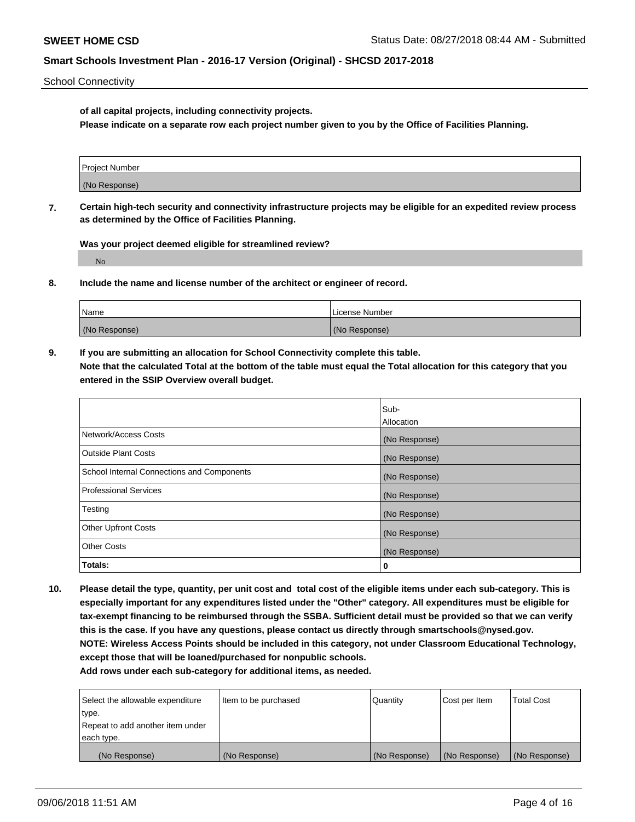School Connectivity

**of all capital projects, including connectivity projects.**

**Please indicate on a separate row each project number given to you by the Office of Facilities Planning.**

| Project Number |  |
|----------------|--|
|                |  |
|                |  |
|                |  |
| (No Response)  |  |
|                |  |

**7. Certain high-tech security and connectivity infrastructure projects may be eligible for an expedited review process as determined by the Office of Facilities Planning.**

**Was your project deemed eligible for streamlined review?**

No

**8. Include the name and license number of the architect or engineer of record.**

| Name          | License Number |
|---------------|----------------|
| (No Response) | (No Response)  |

**9. If you are submitting an allocation for School Connectivity complete this table. Note that the calculated Total at the bottom of the table must equal the Total allocation for this category that you entered in the SSIP Overview overall budget.** 

|                                            | Sub-              |
|--------------------------------------------|-------------------|
|                                            | <b>Allocation</b> |
| Network/Access Costs                       | (No Response)     |
| <b>Outside Plant Costs</b>                 | (No Response)     |
| School Internal Connections and Components | (No Response)     |
| <b>Professional Services</b>               | (No Response)     |
| Testing                                    | (No Response)     |
| <b>Other Upfront Costs</b>                 | (No Response)     |
| <b>Other Costs</b>                         | (No Response)     |
| Totals:                                    | 0                 |

**10. Please detail the type, quantity, per unit cost and total cost of the eligible items under each sub-category. This is especially important for any expenditures listed under the "Other" category. All expenditures must be eligible for tax-exempt financing to be reimbursed through the SSBA. Sufficient detail must be provided so that we can verify this is the case. If you have any questions, please contact us directly through smartschools@nysed.gov. NOTE: Wireless Access Points should be included in this category, not under Classroom Educational Technology, except those that will be loaned/purchased for nonpublic schools.**

| Select the allowable expenditure | Item to be purchased | Quantity      | <b>Cost per Item</b> | <b>Total Cost</b> |
|----------------------------------|----------------------|---------------|----------------------|-------------------|
| type.                            |                      |               |                      |                   |
| Repeat to add another item under |                      |               |                      |                   |
| each type.                       |                      |               |                      |                   |
| (No Response)                    | (No Response)        | (No Response) | (No Response)        | (No Response)     |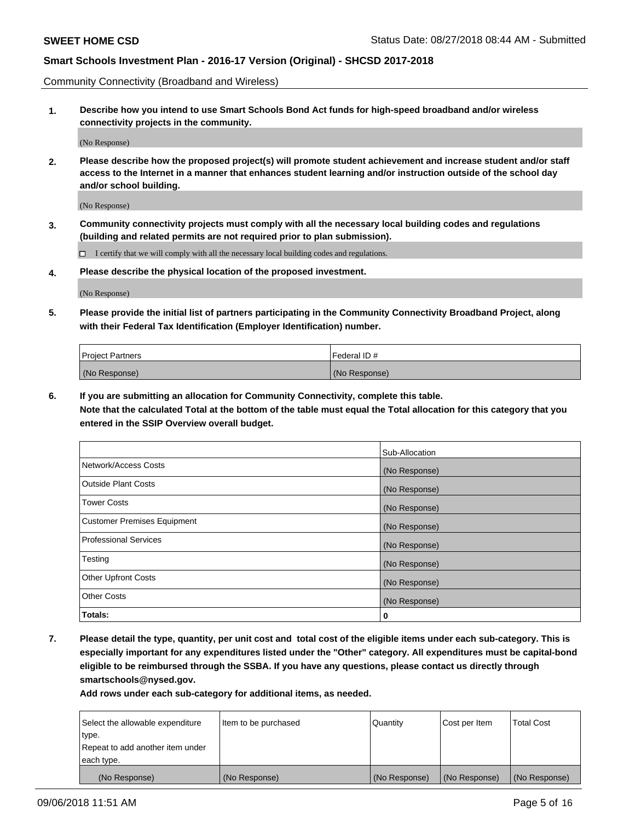Community Connectivity (Broadband and Wireless)

**1. Describe how you intend to use Smart Schools Bond Act funds for high-speed broadband and/or wireless connectivity projects in the community.**

(No Response)

**2. Please describe how the proposed project(s) will promote student achievement and increase student and/or staff access to the Internet in a manner that enhances student learning and/or instruction outside of the school day and/or school building.**

(No Response)

**3. Community connectivity projects must comply with all the necessary local building codes and regulations (building and related permits are not required prior to plan submission).**

 $\Box$  I certify that we will comply with all the necessary local building codes and regulations.

**4. Please describe the physical location of the proposed investment.**

(No Response)

**5. Please provide the initial list of partners participating in the Community Connectivity Broadband Project, along with their Federal Tax Identification (Employer Identification) number.**

| <b>Project Partners</b> | Federal ID#   |
|-------------------------|---------------|
| (No Response)           | (No Response) |

**6. If you are submitting an allocation for Community Connectivity, complete this table.**

**Note that the calculated Total at the bottom of the table must equal the Total allocation for this category that you entered in the SSIP Overview overall budget.**

|                                    | Sub-Allocation |
|------------------------------------|----------------|
| Network/Access Costs               | (No Response)  |
| <b>Outside Plant Costs</b>         | (No Response)  |
| <b>Tower Costs</b>                 | (No Response)  |
| <b>Customer Premises Equipment</b> | (No Response)  |
| <b>Professional Services</b>       | (No Response)  |
| Testing                            | (No Response)  |
| <b>Other Upfront Costs</b>         | (No Response)  |
| <b>Other Costs</b>                 | (No Response)  |
| Totals:                            | 0              |

**7. Please detail the type, quantity, per unit cost and total cost of the eligible items under each sub-category. This is especially important for any expenditures listed under the "Other" category. All expenditures must be capital-bond eligible to be reimbursed through the SSBA. If you have any questions, please contact us directly through smartschools@nysed.gov.**

| Select the allowable expenditure | Item to be purchased | Quantity      | Cost per Item | <b>Total Cost</b> |
|----------------------------------|----------------------|---------------|---------------|-------------------|
| type.                            |                      |               |               |                   |
| Repeat to add another item under |                      |               |               |                   |
| each type.                       |                      |               |               |                   |
| (No Response)                    | (No Response)        | (No Response) | (No Response) | (No Response)     |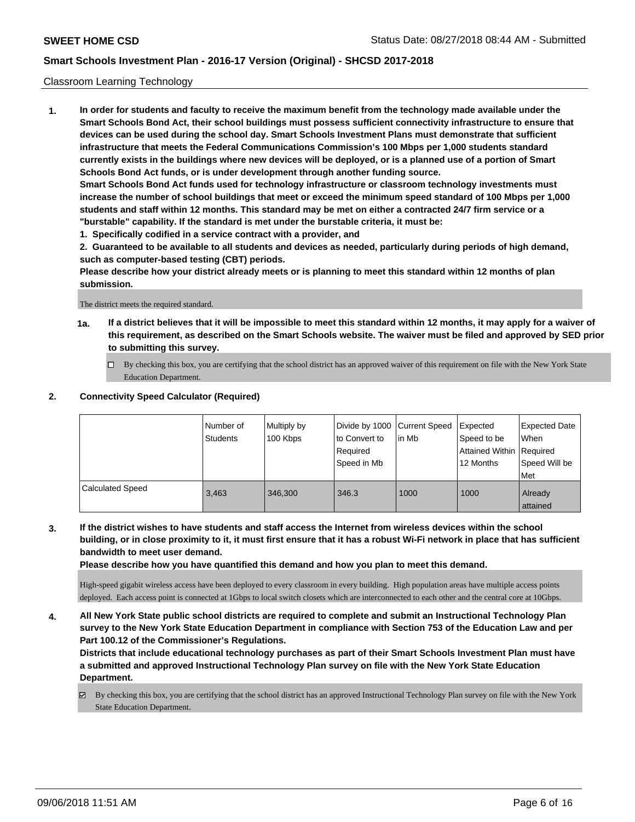### Classroom Learning Technology

**1. In order for students and faculty to receive the maximum benefit from the technology made available under the Smart Schools Bond Act, their school buildings must possess sufficient connectivity infrastructure to ensure that devices can be used during the school day. Smart Schools Investment Plans must demonstrate that sufficient infrastructure that meets the Federal Communications Commission's 100 Mbps per 1,000 students standard currently exists in the buildings where new devices will be deployed, or is a planned use of a portion of Smart Schools Bond Act funds, or is under development through another funding source. Smart Schools Bond Act funds used for technology infrastructure or classroom technology investments must increase the number of school buildings that meet or exceed the minimum speed standard of 100 Mbps per 1,000 students and staff within 12 months. This standard may be met on either a contracted 24/7 firm service or a**

- **"burstable" capability. If the standard is met under the burstable criteria, it must be: 1. Specifically codified in a service contract with a provider, and**
- **2. Guaranteed to be available to all students and devices as needed, particularly during periods of high demand, such as computer-based testing (CBT) periods.**

**Please describe how your district already meets or is planning to meet this standard within 12 months of plan submission.**

The district meets the required standard.

- **1a. If a district believes that it will be impossible to meet this standard within 12 months, it may apply for a waiver of this requirement, as described on the Smart Schools website. The waiver must be filed and approved by SED prior to submitting this survey.**
	- By checking this box, you are certifying that the school district has an approved waiver of this requirement on file with the New York State Education Department.

### **2. Connectivity Speed Calculator (Required)**

|                         | I Number of<br>Students | Multiply by<br>100 Kbps | to Convert to<br>Reauired<br>Speed in Mb | Divide by 1000 Current Speed Expected<br>lin Mb | Speed to be<br>Attained Within Required<br>12 Months | Expected Date<br>When<br>Speed Will be<br>Met |
|-------------------------|-------------------------|-------------------------|------------------------------------------|-------------------------------------------------|------------------------------------------------------|-----------------------------------------------|
| <b>Calculated Speed</b> | 3.463                   | 346,300                 | 346.3                                    | 1000                                            | 1000                                                 | Already<br>attained                           |

**3. If the district wishes to have students and staff access the Internet from wireless devices within the school building, or in close proximity to it, it must first ensure that it has a robust Wi-Fi network in place that has sufficient bandwidth to meet user demand.**

**Please describe how you have quantified this demand and how you plan to meet this demand.**

High-speed gigabit wireless access have been deployed to every classroom in every building. High population areas have multiple access points deployed. Each access point is connected at 1Gbps to local switch closets which are interconnected to each other and the central core at 10Gbps.

**4. All New York State public school districts are required to complete and submit an Instructional Technology Plan survey to the New York State Education Department in compliance with Section 753 of the Education Law and per Part 100.12 of the Commissioner's Regulations.**

**Districts that include educational technology purchases as part of their Smart Schools Investment Plan must have a submitted and approved Instructional Technology Plan survey on file with the New York State Education Department.**

By checking this box, you are certifying that the school district has an approved Instructional Technology Plan survey on file with the New York State Education Department.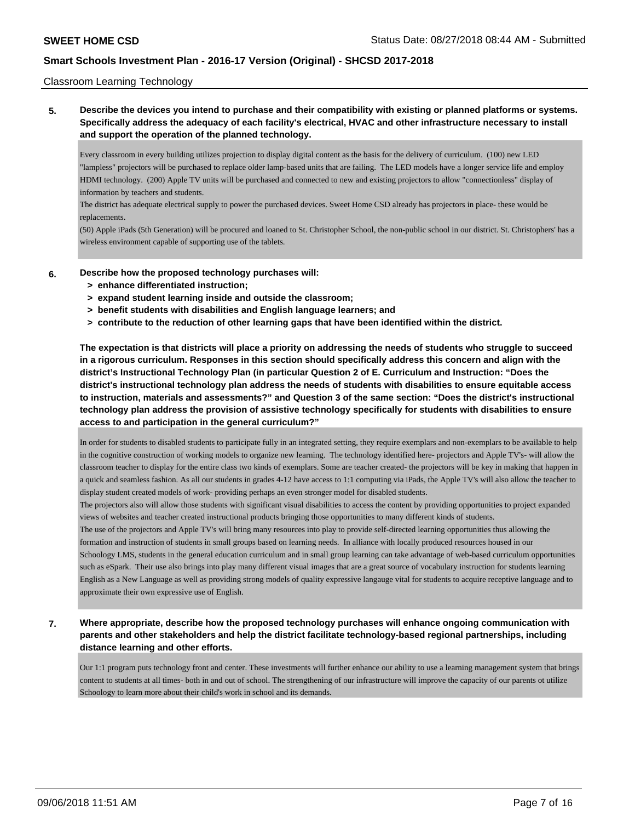### Classroom Learning Technology

**5. Describe the devices you intend to purchase and their compatibility with existing or planned platforms or systems. Specifically address the adequacy of each facility's electrical, HVAC and other infrastructure necessary to install and support the operation of the planned technology.**

Every classroom in every building utilizes projection to display digital content as the basis for the delivery of curriculum. (100) new LED "lampless" projectors will be purchased to replace older lamp-based units that are failing. The LED models have a longer service life and employ HDMI technology. (200) Apple TV units will be purchased and connected to new and existing projectors to allow "connectionless" display of information by teachers and students.

The district has adequate electrical supply to power the purchased devices. Sweet Home CSD already has projectors in place- these would be replacements.

(50) Apple iPads (5th Generation) will be procured and loaned to St. Christopher School, the non-public school in our district. St. Christophers' has a wireless environment capable of supporting use of the tablets.

- **6. Describe how the proposed technology purchases will:**
	- **> enhance differentiated instruction;**
	- **> expand student learning inside and outside the classroom;**
	- **> benefit students with disabilities and English language learners; and**
	- **> contribute to the reduction of other learning gaps that have been identified within the district.**

**The expectation is that districts will place a priority on addressing the needs of students who struggle to succeed in a rigorous curriculum. Responses in this section should specifically address this concern and align with the district's Instructional Technology Plan (in particular Question 2 of E. Curriculum and Instruction: "Does the district's instructional technology plan address the needs of students with disabilities to ensure equitable access to instruction, materials and assessments?" and Question 3 of the same section: "Does the district's instructional technology plan address the provision of assistive technology specifically for students with disabilities to ensure access to and participation in the general curriculum?"**

In order for students to disabled students to participate fully in an integrated setting, they require exemplars and non-exemplars to be available to help in the cognitive construction of working models to organize new learning. The technology identified here- projectors and Apple TV's- will allow the classroom teacher to display for the entire class two kinds of exemplars. Some are teacher created- the projectors will be key in making that happen in a quick and seamless fashion. As all our students in grades 4-12 have access to 1:1 computing via iPads, the Apple TV's will also allow the teacher to display student created models of work- providing perhaps an even stronger model for disabled students.

The projectors also will allow those students with significant visual disabilities to access the content by providing opportunities to project expanded views of websites and teacher created instructional products bringing those opportunities to many different kinds of students.

The use of the projectors and Apple TV's will bring many resources into play to provide self-directed learning opportunities thus allowing the formation and instruction of students in small groups based on learning needs. In alliance with locally produced resources housed in our Schoology LMS, students in the general education curriculum and in small group learning can take advantage of web-based curriculum opportunities such as eSpark. Their use also brings into play many different visual images that are a great source of vocabulary instruction for students learning English as a New Language as well as providing strong models of quality expressive langauge vital for students to acquire receptive language and to approximate their own expressive use of English.

**7. Where appropriate, describe how the proposed technology purchases will enhance ongoing communication with parents and other stakeholders and help the district facilitate technology-based regional partnerships, including distance learning and other efforts.**

Our 1:1 program puts technology front and center. These investments will further enhance our ability to use a learning management system that brings content to students at all times- both in and out of school. The strengthening of our infrastructure will improve the capacity of our parents ot utilize Schoology to learn more about their child's work in school and its demands.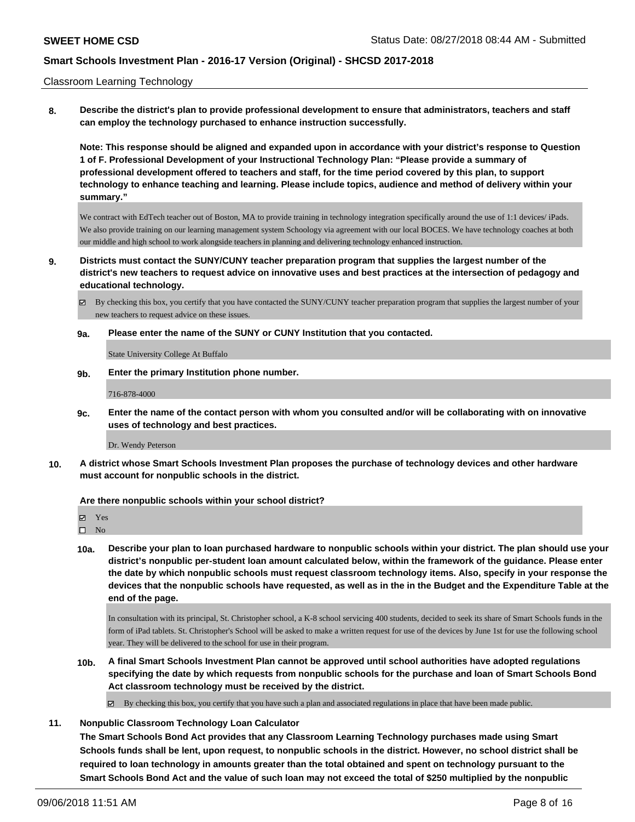### Classroom Learning Technology

**8. Describe the district's plan to provide professional development to ensure that administrators, teachers and staff can employ the technology purchased to enhance instruction successfully.**

**Note: This response should be aligned and expanded upon in accordance with your district's response to Question 1 of F. Professional Development of your Instructional Technology Plan: "Please provide a summary of professional development offered to teachers and staff, for the time period covered by this plan, to support technology to enhance teaching and learning. Please include topics, audience and method of delivery within your summary."**

We contract with EdTech teacher out of Boston, MA to provide training in technology integration specifically around the use of 1:1 devices/ iPads. We also provide training on our learning management system Schoology via agreement with our local BOCES. We have technology coaches at both our middle and high school to work alongside teachers in planning and delivering technology enhanced instruction.

**9. Districts must contact the SUNY/CUNY teacher preparation program that supplies the largest number of the district's new teachers to request advice on innovative uses and best practices at the intersection of pedagogy and educational technology.**

By checking this box, you certify that you have contacted the SUNY/CUNY teacher preparation program that supplies the largest number of your new teachers to request advice on these issues.

#### **9a. Please enter the name of the SUNY or CUNY Institution that you contacted.**

State University College At Buffalo

**9b. Enter the primary Institution phone number.**

716-878-4000

**9c. Enter the name of the contact person with whom you consulted and/or will be collaborating with on innovative uses of technology and best practices.**

Dr. Wendy Peterson

**10. A district whose Smart Schools Investment Plan proposes the purchase of technology devices and other hardware must account for nonpublic schools in the district.**

### **Are there nonpublic schools within your school district?**

Yes

 $\square$  No

**10a. Describe your plan to loan purchased hardware to nonpublic schools within your district. The plan should use your district's nonpublic per-student loan amount calculated below, within the framework of the guidance. Please enter the date by which nonpublic schools must request classroom technology items. Also, specify in your response the devices that the nonpublic schools have requested, as well as in the in the Budget and the Expenditure Table at the end of the page.**

In consultation with its principal, St. Christopher school, a K-8 school servicing 400 students, decided to seek its share of Smart Schools funds in the form of iPad tablets. St. Christopher's School will be asked to make a written request for use of the devices by June 1st for use the following school year. They will be delivered to the school for use in their program.

**10b. A final Smart Schools Investment Plan cannot be approved until school authorities have adopted regulations specifying the date by which requests from nonpublic schools for the purchase and loan of Smart Schools Bond Act classroom technology must be received by the district.**

 $\boxtimes$  By checking this box, you certify that you have such a plan and associated regulations in place that have been made public.

### **11. Nonpublic Classroom Technology Loan Calculator**

**The Smart Schools Bond Act provides that any Classroom Learning Technology purchases made using Smart Schools funds shall be lent, upon request, to nonpublic schools in the district. However, no school district shall be required to loan technology in amounts greater than the total obtained and spent on technology pursuant to the Smart Schools Bond Act and the value of such loan may not exceed the total of \$250 multiplied by the nonpublic**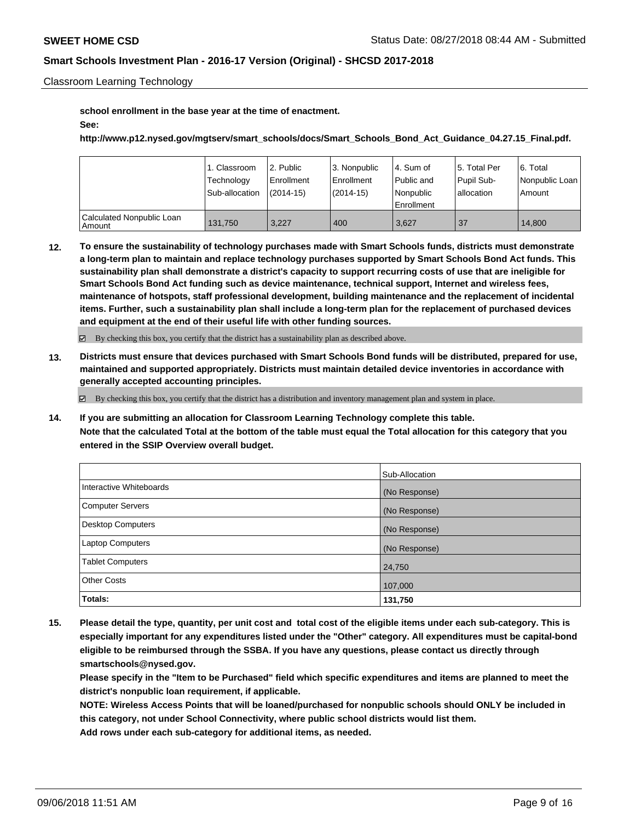Classroom Learning Technology

**school enrollment in the base year at the time of enactment.**

### **See:**

**http://www.p12.nysed.gov/mgtserv/smart\_schools/docs/Smart\_Schools\_Bond\_Act\_Guidance\_04.27.15\_Final.pdf.**

|                                       | 1. Classroom<br>Technology<br>Sub-allocation | 2. Public<br>Enrollment<br>$(2014-15)$ | l 3. Nonpublic<br>Enrollment<br>$(2014-15)$ | l 4. Sum of<br>Public and<br>l Nonpublic<br>l Enrollment | 15. Total Per<br>Pupil Sub-<br>lallocation | 6. Total<br>  Nonpublic Loan  <br>Amount |
|---------------------------------------|----------------------------------------------|----------------------------------------|---------------------------------------------|----------------------------------------------------------|--------------------------------------------|------------------------------------------|
| Calculated Nonpublic Loan<br>  Amount | 131.750                                      | 3.227                                  | 400                                         | 3,627                                                    | 37                                         | 14.800                                   |

**12. To ensure the sustainability of technology purchases made with Smart Schools funds, districts must demonstrate a long-term plan to maintain and replace technology purchases supported by Smart Schools Bond Act funds. This sustainability plan shall demonstrate a district's capacity to support recurring costs of use that are ineligible for Smart Schools Bond Act funding such as device maintenance, technical support, Internet and wireless fees, maintenance of hotspots, staff professional development, building maintenance and the replacement of incidental items. Further, such a sustainability plan shall include a long-term plan for the replacement of purchased devices and equipment at the end of their useful life with other funding sources.**

By checking this box, you certify that the district has a sustainability plan as described above.

**13. Districts must ensure that devices purchased with Smart Schools Bond funds will be distributed, prepared for use, maintained and supported appropriately. Districts must maintain detailed device inventories in accordance with generally accepted accounting principles.**

By checking this box, you certify that the district has a distribution and inventory management plan and system in place.

**14. If you are submitting an allocation for Classroom Learning Technology complete this table. Note that the calculated Total at the bottom of the table must equal the Total allocation for this category that you entered in the SSIP Overview overall budget.**

|                          | Sub-Allocation |
|--------------------------|----------------|
| Interactive Whiteboards  | (No Response)  |
| <b>Computer Servers</b>  | (No Response)  |
| <b>Desktop Computers</b> | (No Response)  |
| <b>Laptop Computers</b>  | (No Response)  |
| <b>Tablet Computers</b>  | 24,750         |
| <b>Other Costs</b>       | 107,000        |
| Totals:                  | 131,750        |

**15. Please detail the type, quantity, per unit cost and total cost of the eligible items under each sub-category. This is especially important for any expenditures listed under the "Other" category. All expenditures must be capital-bond eligible to be reimbursed through the SSBA. If you have any questions, please contact us directly through smartschools@nysed.gov.**

**Please specify in the "Item to be Purchased" field which specific expenditures and items are planned to meet the district's nonpublic loan requirement, if applicable.**

**NOTE: Wireless Access Points that will be loaned/purchased for nonpublic schools should ONLY be included in this category, not under School Connectivity, where public school districts would list them. Add rows under each sub-category for additional items, as needed.**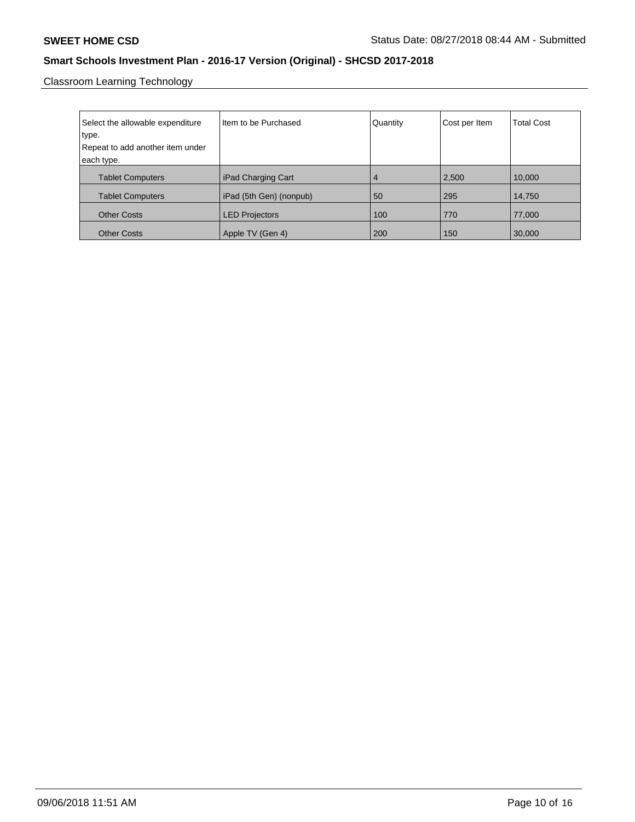Classroom Learning Technology

| Select the allowable expenditure<br>type.<br>Repeat to add another item under | Item to be Purchased    | Quantity       | Cost per Item | <b>Total Cost</b> |
|-------------------------------------------------------------------------------|-------------------------|----------------|---------------|-------------------|
| each type.                                                                    |                         |                |               |                   |
| <b>Tablet Computers</b>                                                       | iPad Charging Cart      | $\overline{4}$ | 2,500         | 10,000            |
| <b>Tablet Computers</b>                                                       | iPad (5th Gen) (nonpub) | 50             | 295           | 14,750            |
| <b>Other Costs</b>                                                            | <b>LED Projectors</b>   | 100            | 770           | 77,000            |
| <b>Other Costs</b>                                                            | Apple TV (Gen 4)        | 200            | 150           | 30,000            |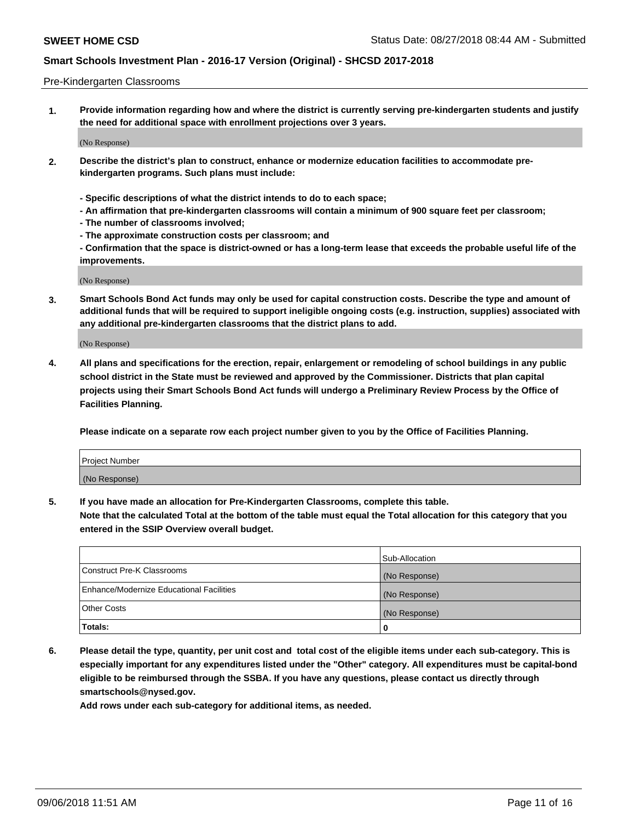### Pre-Kindergarten Classrooms

**1. Provide information regarding how and where the district is currently serving pre-kindergarten students and justify the need for additional space with enrollment projections over 3 years.**

(No Response)

- **2. Describe the district's plan to construct, enhance or modernize education facilities to accommodate prekindergarten programs. Such plans must include:**
	- **Specific descriptions of what the district intends to do to each space;**
	- **An affirmation that pre-kindergarten classrooms will contain a minimum of 900 square feet per classroom;**
	- **The number of classrooms involved;**
	- **The approximate construction costs per classroom; and**
	- **Confirmation that the space is district-owned or has a long-term lease that exceeds the probable useful life of the improvements.**

(No Response)

**3. Smart Schools Bond Act funds may only be used for capital construction costs. Describe the type and amount of additional funds that will be required to support ineligible ongoing costs (e.g. instruction, supplies) associated with any additional pre-kindergarten classrooms that the district plans to add.**

(No Response)

**4. All plans and specifications for the erection, repair, enlargement or remodeling of school buildings in any public school district in the State must be reviewed and approved by the Commissioner. Districts that plan capital projects using their Smart Schools Bond Act funds will undergo a Preliminary Review Process by the Office of Facilities Planning.**

**Please indicate on a separate row each project number given to you by the Office of Facilities Planning.**

| Project Number |  |
|----------------|--|
| (No Response)  |  |
|                |  |

**5. If you have made an allocation for Pre-Kindergarten Classrooms, complete this table.**

**Note that the calculated Total at the bottom of the table must equal the Total allocation for this category that you entered in the SSIP Overview overall budget.**

|                                          | Sub-Allocation |
|------------------------------------------|----------------|
| Construct Pre-K Classrooms               | (No Response)  |
| Enhance/Modernize Educational Facilities | (No Response)  |
| <b>Other Costs</b>                       | (No Response)  |
| Totals:                                  | 0              |

**6. Please detail the type, quantity, per unit cost and total cost of the eligible items under each sub-category. This is especially important for any expenditures listed under the "Other" category. All expenditures must be capital-bond eligible to be reimbursed through the SSBA. If you have any questions, please contact us directly through smartschools@nysed.gov.**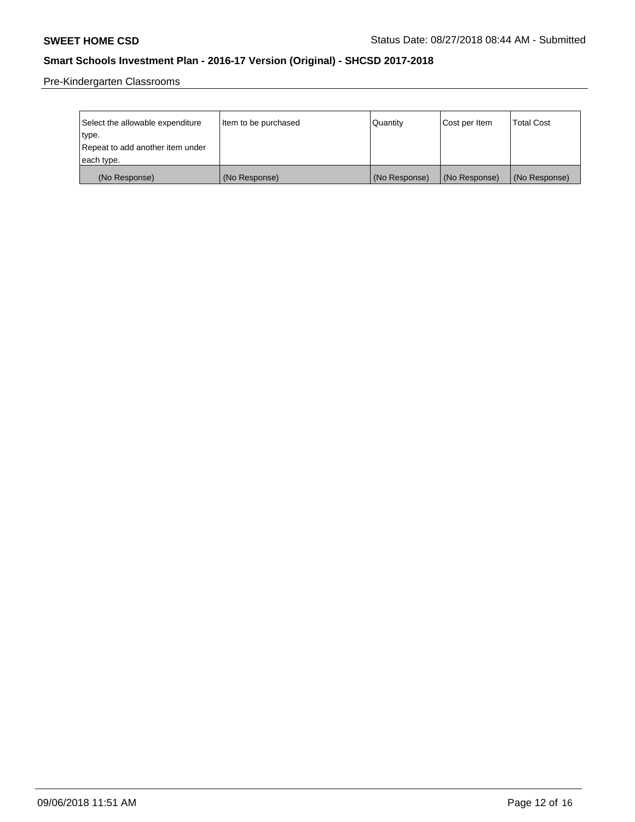Pre-Kindergarten Classrooms

| Select the allowable expenditure | Item to be purchased | Quantity      | Cost per Item | <b>Total Cost</b> |
|----------------------------------|----------------------|---------------|---------------|-------------------|
| type.                            |                      |               |               |                   |
| Repeat to add another item under |                      |               |               |                   |
| each type.                       |                      |               |               |                   |
| (No Response)                    | (No Response)        | (No Response) | (No Response) | (No Response)     |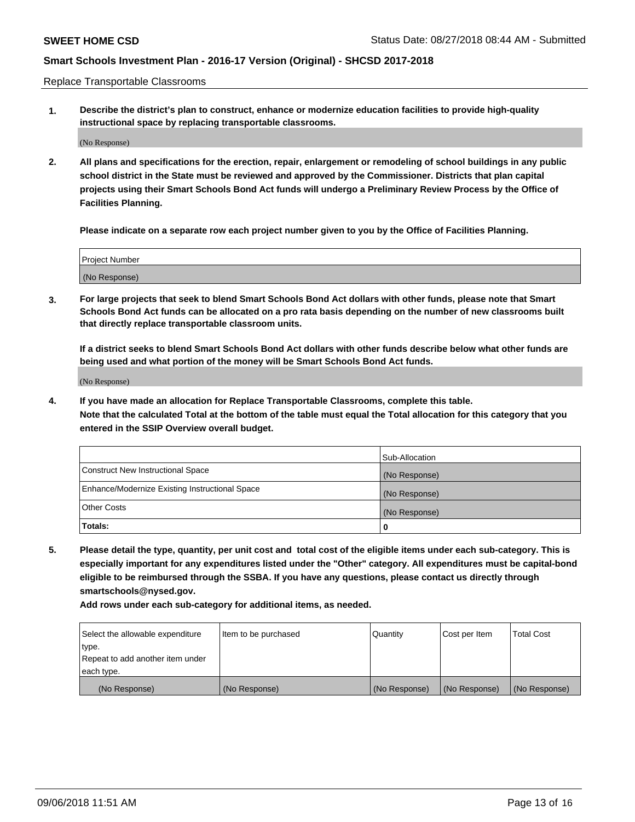Replace Transportable Classrooms

**1. Describe the district's plan to construct, enhance or modernize education facilities to provide high-quality instructional space by replacing transportable classrooms.**

(No Response)

**2. All plans and specifications for the erection, repair, enlargement or remodeling of school buildings in any public school district in the State must be reviewed and approved by the Commissioner. Districts that plan capital projects using their Smart Schools Bond Act funds will undergo a Preliminary Review Process by the Office of Facilities Planning.**

**Please indicate on a separate row each project number given to you by the Office of Facilities Planning.**

| Project Number |  |
|----------------|--|
|                |  |
|                |  |
|                |  |
|                |  |
| (No Response)  |  |
|                |  |
|                |  |
|                |  |

**3. For large projects that seek to blend Smart Schools Bond Act dollars with other funds, please note that Smart Schools Bond Act funds can be allocated on a pro rata basis depending on the number of new classrooms built that directly replace transportable classroom units.**

**If a district seeks to blend Smart Schools Bond Act dollars with other funds describe below what other funds are being used and what portion of the money will be Smart Schools Bond Act funds.**

(No Response)

**4. If you have made an allocation for Replace Transportable Classrooms, complete this table. Note that the calculated Total at the bottom of the table must equal the Total allocation for this category that you entered in the SSIP Overview overall budget.**

|                                                | Sub-Allocation |
|------------------------------------------------|----------------|
| Construct New Instructional Space              | (No Response)  |
| Enhance/Modernize Existing Instructional Space | (No Response)  |
| <b>Other Costs</b>                             | (No Response)  |
| Totals:                                        | 0              |

**5. Please detail the type, quantity, per unit cost and total cost of the eligible items under each sub-category. This is especially important for any expenditures listed under the "Other" category. All expenditures must be capital-bond eligible to be reimbursed through the SSBA. If you have any questions, please contact us directly through smartschools@nysed.gov.**

| Select the allowable expenditure | Item to be purchased | l Quantitv    | Cost per Item | <b>Total Cost</b> |
|----------------------------------|----------------------|---------------|---------------|-------------------|
| type.                            |                      |               |               |                   |
| Repeat to add another item under |                      |               |               |                   |
| each type.                       |                      |               |               |                   |
| (No Response)                    | (No Response)        | (No Response) | (No Response) | (No Response)     |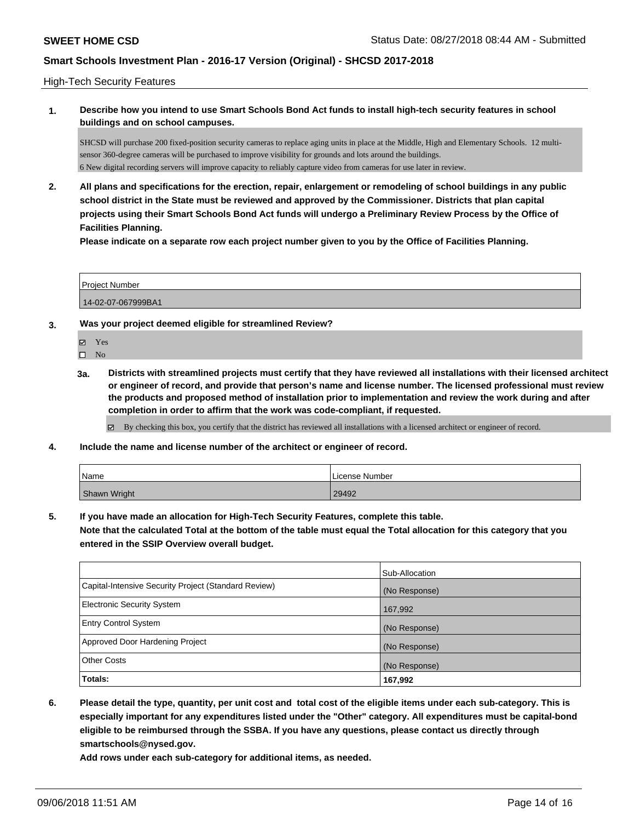### High-Tech Security Features

**1. Describe how you intend to use Smart Schools Bond Act funds to install high-tech security features in school buildings and on school campuses.**

SHCSD will purchase 200 fixed-position security cameras to replace aging units in place at the Middle, High and Elementary Schools. 12 multisensor 360-degree cameras will be purchased to improve visibility for grounds and lots around the buildings. 6 New digital recording servers will improve capacity to reliably capture video from cameras for use later in review.

**2. All plans and specifications for the erection, repair, enlargement or remodeling of school buildings in any public school district in the State must be reviewed and approved by the Commissioner. Districts that plan capital projects using their Smart Schools Bond Act funds will undergo a Preliminary Review Process by the Office of Facilities Planning.** 

**Please indicate on a separate row each project number given to you by the Office of Facilities Planning.**

Project Number 14-02-07-067999BA1

- **3. Was your project deemed eligible for streamlined Review?**
	- Yes
	- $\square$  No
	- **3a. Districts with streamlined projects must certify that they have reviewed all installations with their licensed architect or engineer of record, and provide that person's name and license number. The licensed professional must review the products and proposed method of installation prior to implementation and review the work during and after completion in order to affirm that the work was code-compliant, if requested.**

By checking this box, you certify that the district has reviewed all installations with a licensed architect or engineer of record.

**4. Include the name and license number of the architect or engineer of record.**

| Name         | l License Number |
|--------------|------------------|
| Shawn Wright | 29492            |

**5. If you have made an allocation for High-Tech Security Features, complete this table.**

**Note that the calculated Total at the bottom of the table must equal the Total allocation for this category that you entered in the SSIP Overview overall budget.**

|                                                      | Sub-Allocation |
|------------------------------------------------------|----------------|
| Capital-Intensive Security Project (Standard Review) | (No Response)  |
| <b>Electronic Security System</b>                    | 167,992        |
| <b>Entry Control System</b>                          | (No Response)  |
| Approved Door Hardening Project                      | (No Response)  |
| <b>Other Costs</b>                                   | (No Response)  |
| Totals:                                              | 167,992        |

**6. Please detail the type, quantity, per unit cost and total cost of the eligible items under each sub-category. This is especially important for any expenditures listed under the "Other" category. All expenditures must be capital-bond eligible to be reimbursed through the SSBA. If you have any questions, please contact us directly through smartschools@nysed.gov.**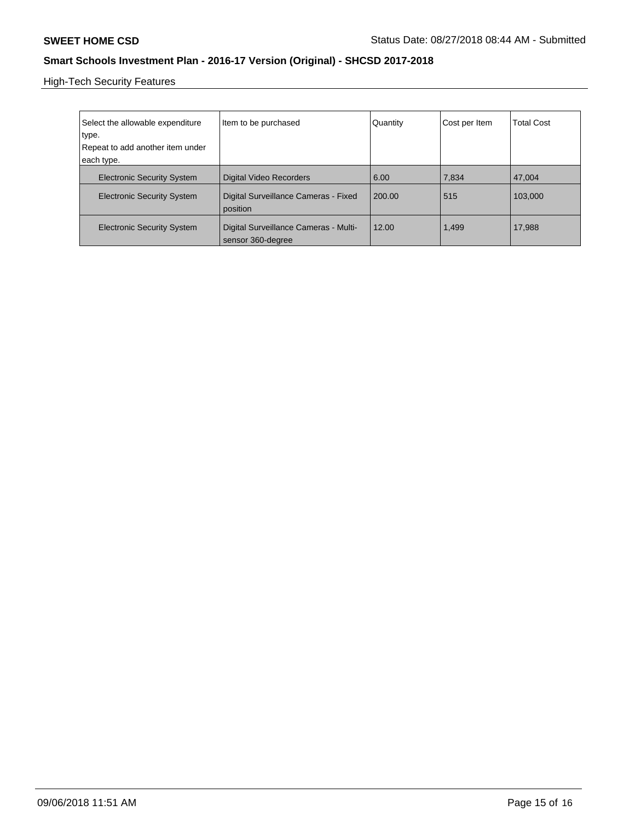High-Tech Security Features

| Select the allowable expenditure<br>type.<br>Repeat to add another item under<br>each type. | Item to be purchased                                       | Quantity | Cost per Item | <b>Total Cost</b> |
|---------------------------------------------------------------------------------------------|------------------------------------------------------------|----------|---------------|-------------------|
| <b>Electronic Security System</b>                                                           | <b>Digital Video Recorders</b>                             | 6.00     | 7,834         | 47.004            |
| <b>Electronic Security System</b>                                                           | Digital Surveillance Cameras - Fixed<br>position           | 200.00   | 515           | 103.000           |
| <b>Electronic Security System</b>                                                           | Digital Surveillance Cameras - Multi-<br>sensor 360-degree | 12.00    | 1,499         | 17,988            |